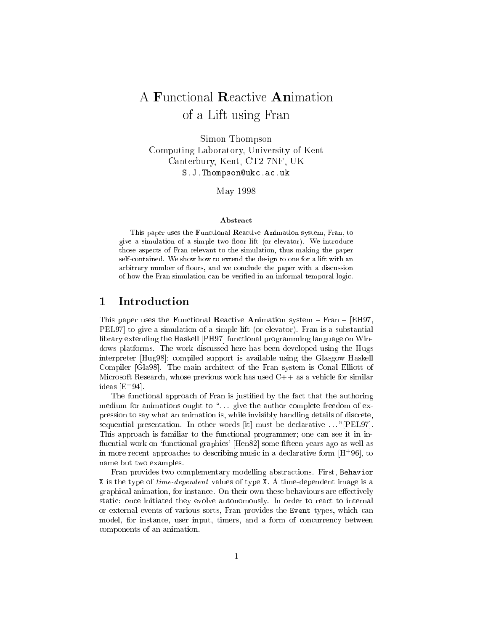# A Functional Reactive Animation of a Lift using Fran

Simon Thompson Computing Laboratory, University of Kent Canterbury, Kent, CT2 7NF, UK S.J.Thompson@ukc.ac.uk

May <sup>1998</sup>

### Abstract

This paper uses the Functional Reactive Animation system, Fran, to give <sup>a</sup> simulation of <sup>a</sup> simple two oor lift (or elevator). We introduce those aspects of Fran relevant to the simulation, thus making the paper self-contained. We show to extend the design to one for a lift with  $\alpha$ arbitrary modern of the paper with a discussion and paper with a discussion of how the Fran simulation can be veried in an informal temporal logic.

## 1 Introduction

This paper uses the Functional Reactive Animation system  $-$  Fran  $-$  [EH97, PEL97] to give a simulation of a simple lift (or elevator). Fran is a substantial library extending the Haskell [PH97] functional programming language on Windows platforms. The work discussed here has been developed using the Hugs interpreter [Hug98]; compiled support is available using the Glasgow Haskell Compiler [Gla98]. The main architect of the Fran system is Conal Elliott of Microsoft Research, whose previous work has used  $C++$  as a vehicle for similar ideas [E+ 94].

The functional approach of Fran is justied by the fact that the authoring medium for animations ought to "... give the author complete freedom of expression to say what an animation is, while invisibly handling details of discrete, sequential presentation. In other words [it] must be declarative ..." [PEL97]. This approach is familiar to the functional programmer; one can see it in in fluential work on 'functional graphics' [Hen82] some fifteen years ago as well as in more recent approaches to describing music in a declarative form [H<sup>+</sup> 96], to name but two examples.

Fran provides two complementary modelling abstractions. First, Behavior X is the type of time-dependent values of type X. A time-dependent image is a graphical animation, for instance. On their own these behaviours are effectively static: once initiated they evolve autonomously. In order to react to internal or external events of various sorts, Fran provides the Event types, which can model, for instance, user input, timers, and a form of concurrency between components of an animation.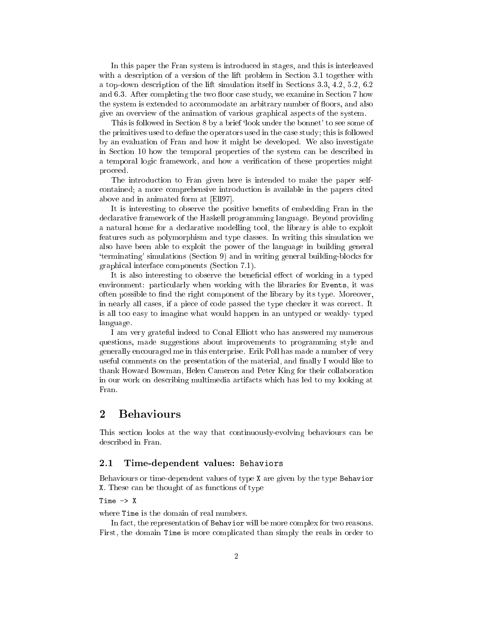In this paper the Fran system is introduced in stages, and this is interleaved with a description of a version of the lift problem in Section 3.1 together with a top-down description of the lift simulation itself in Sections 3.3, 4.2, 5.2, 6.2 and 6.3. After completing the two floor case study, we examine in Section 7 how the system is extended to accommodate an arbitrary number of floors, and also give an overview of the animation of various graphical aspects of the system.

This is followed in Section 8 by a brief 'look under the bonnet' to see some of the primitives used to define the operators used in the case study; this is followed by an evaluation of Fran and how it might be developed. We also investigate in Section 10 how the temporal properties of the system can be described in a temporal logic framework, and how a verication of these properties might proceed.

The introduction to Fran given here is intended to make the paper selfcontained; a more comprehensive introduction is available in the papers cited above and in animated form at [Ell97].

It is interesting to observe the positive benefits of embedding Fran in the declarative framework of the Haskell programming language. Beyond providing a natural home for a declarative modelling tool, the library is able to exploit features such as polymorphism and type classes. In writing this simulation we also have been able to exploit the power of the language in building general `terminating' simulations (Section 9) and in writing general building-blocks for graphical interface components (Section 7.1).

It is also interesting to observe the beneficial effect of working in a typed environment: particularly when working with the libraries for Events, it was often possible to find the right component of the library by its type. Moreover, in nearly all cases, if a piece of code passed the type checker it was correct. It is all too easy to imagine what would happen in an untyped or weakly- typed language.

I am very grateful indeed to Conal Elliott who has answered my numerous questions, made suggestions about improvements to programming style and generally encouraged me in this enterprise. Erik Poll has made a number of very useful comments on the presentation of the material, and finally I would like to thank Howard Bowman, Helen Cameron and Peter King for their collaboration in our work on describing multimedia artifacts which has led to my looking at Fran.

#### $\overline{2}$ **Behaviours**

This section looks at the way that continuously-evolving behaviours can be described in Fran.

#### 2.1 Time-dependent values: Behaviors

Behaviours or time-dependent values of type X are given by the type Behavior X. These can be thought of as functions of type

Time -> X

where Time is the domain of real numbers.

In fact, the representation of Behavior will be more complex for two reasons. First, the domain Time is more complicated than simply the reals in order to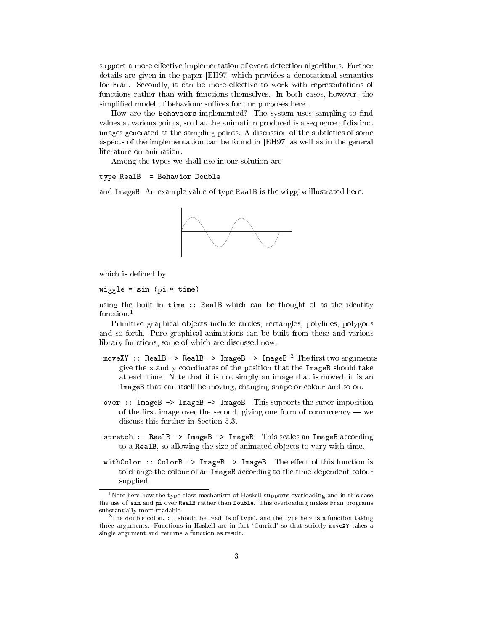support a more effective implementation of event-detection algorithms. Further details are given in the paper [EH97] which provides a denotational semantics for Fran. Secondly, it can be more effective to work with representations of functions rather than with functions themselves. In both cases, however, the simplified model of behaviour suffices for our purposes here.

How are the Behaviors implemented? The system uses sampling to find values at various points, so that the animation produced is a sequence of distinct images generated at the sampling points. A discussion of the subtleties of some aspects of the implementation can be found in [EH97] as well as in the general literature on animation.

Among the types we shall use in our solution are

### type RealB = Behavior Double

and ImageB. An example value of type RealB is the wiggle illustrated here:



which is defined by

wiggle =  $sin (pi * time)$ 

using the built in time :: RealB which can be thought of as the identity function.<sup>1</sup>

Primitive graphical objects include circles, rectangles, polylines, polygons and so forth. Pure graphical animations can be built from these and various library functions, some of which are discussed now.

- movexi :: RealB -> RealB -> ImageB -> ImageB 2 Inenist two arguments give the x and y coordinates of the position that the ImageB should take at each time. Note that it is not simply an image that is moved; it is an ImageB that can itself be moving, changing shape or colour and so on.
- over :: ImageB -> ImageB -> ImageB This supports the super-imposition of the first image over the second, giving one form of concurrency  $-\mathbf{we}$ discuss this further in Section 5.3.
- stretch :: RealB -> ImageB -> ImageB This scales an ImageB according to a RealB, so allowing the size of animated objects to vary with time.
- withColor :: ColorB  $\rightarrow$  ImageB  $\rightarrow$  ImageB The effect of this function is to change the colour of an ImageB according to the time-dependent colour supplied.

 $1$ Note here how the type class mechanism of Haskell supports overloading and in this case the use of sin and pi over RealB rather than Double. This overloading makes Fran programs substantially more readable.

<sup>&</sup>lt;sup>2</sup>The double colon, ::, should be read 'is of type', and the type here is a function taking three arguments. Functions in Haskell are in fact 'Curried' so that strictly moveXY takes a single argument and returns a function as result.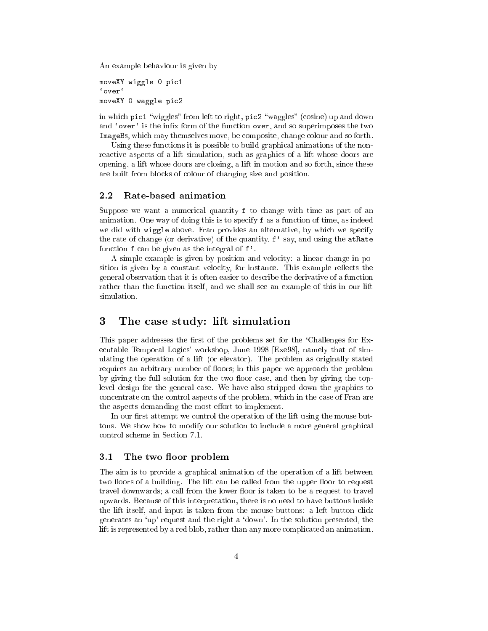An example behaviour is given by

```
moveXY wiggle 0 pic1
moveXY 0 waggle pic2
```
in which pic1 "wiggles" from left to right, pic2 "waggles" (cosine) up and down and 'over' is the infix form of the function over, and so superimposes the two ImageBs, which may themselves move, be composite, change colour and so forth.

Using these functions it is possible to build graphical animations of the nonreactive aspects of a lift simulation, such as graphics of a lift whose doors are opening, a lift whose doors are closing, a lift in motion and so forth, since these are built from blocks of colour of changing size and position.

#### 2.2 Rate-based animation

Suppose we want a numerical quantity f to change with time as part of an animation. One way of doing this is to specify f as a function of time, as indeed we did with wiggle above. Fran provides an alternative, by which we specify the rate of change (or derivative) of the quantity,  $f'$  say, and using the atRate function f can be given as the integral of f'.

A simple example is given by position and velocity: a linear change in position is given by a constant velocity, for instance. This example reflects the general observation that it is often easier to describe the derivative of a function rather than the function itself, and we shall see an example of this in our lift simulation.

#### 3 The case study: lift simulation

This paper addresses the first of the problems set for the 'Challenges for Executable Temporal Logics' workshop, June 1998 [Exe98], namely that of simulating the operation of a lift (or elevator). The problem as originally stated requires an arbitrary number of floors; in this paper we approach the problem by giving the full solution for the two floor case, and then by giving the toplevel design for the general case. We have also stripped down the graphics to concentrate on the control aspects of the problem, which in the case of Fran are the aspects demanding the most effort to implement.

In our first attempt we control the operation of the lift using the mouse buttons. We show how to modify our solution to include a more general graphical control scheme in Section 7.1.

#### 3.1The two floor problem

The aim is to provide a graphical animation of the operation of a lift between two floors of a building. The lift can be called from the upper floor to request travel downwards; a call from the lower floor is taken to be a request to travel upwards. Because of this interpretation, there is no need to have buttons inside the lift itself, and input is taken from the mouse buttons: a left button click generates an `up' request and the right a `down'. In the solution presented, the lift is represented by a red blob, rather than any more complicated an animation.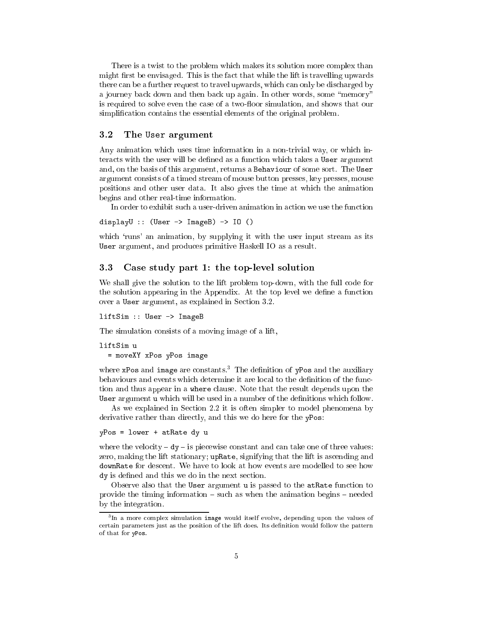There is a twist to the problem which makes its solution more complex than might first be envisaged. This is the fact that while the lift is travelling upwards there can be a further request to travel upwards, which can only be discharged by a journey back down and then back up again. In other words, some "memory" is required to solve even the case of a two-floor simulation, and shows that our simplication contains the essential elements of the original problem.

#### 3.2The User argument

Any animation which uses time information in a non-trivial way, or which interacts with the user will be dened as a function which takes a User argument and, on the basis of this argument, returns a Behaviour of some sort. The User argument consists of a timed stream of mouse button presses, key presses, mouse positions and other user data. It also gives the time at which the animation begins and other real-time information.

In order to exhibit such a user-driven animation in action we use the function

```
displayU :: (User -> ImageB) -> IO ()
```
which 'runs' an animation, by supplying it with the user input stream as its User argument, and produces primitive Haskell IO as a result.

#### 3.3Case study part 1: the top-level solution

We shall give the solution to the lift problem top-down, with the full code for the solution appearing in the Appendix. At the top level we define a function over a User argument, as explained in Section 3.2.

```
liftSim :: User -> ImageB
```
The simulation consists of a moving image of a lift,

```
liftSim u
```
= moveXY xPos yPos image

where xPos and image are constants. The definition of yPos and the auxiliary behaviours and events which determine it are local to the definition of the function and thus appear in a where clause. Note that the result depends upon the User argument u which will be used in a number of the definitions which follow.

As we explained in Section 2.2 it is often simpler to model phenomena by derivative rather than directly, and this we do here for the yPos:

```
yPos = lower + atRate dy u
```
where the velocity  $-$  dy  $-$  is piecewise constant and can take one of three values: zero, making the lift stationary; upRate, signifying that the lift is ascending and downRate for descent. We have to look at how events are modelled to see how dy is dened and this we do in the next section.

Observe also that the User argument u is passed to the atRate function to provide the timing information  $-$  such as when the animation begins  $-$  needed by the integration.

In a more complex simulation **image** would itself evolve, depending upon the values of certain parameters just as the position of the lift does. Its definition would follow the pattern of that for yPos.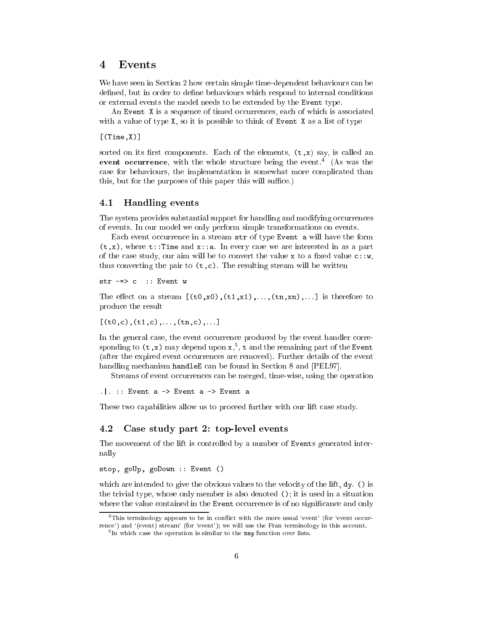#### $\overline{4}$ Events

We have seen in Section 2 how certain simple time-dependent behaviours can be defined, but in order to define behaviours which respond to internal conditions or external events the model needs to be extended by the Event type.

An Event X is a sequence of timed occurrences, each of which is associated with a value of type X, so it is possible to think of Event X as a list of type

 $[$ (Time,X)]

sorted on its first components. Each of the elements,  $(t, x)$  say, is called an event occurrence, with the whole structure being the event.<sup>4</sup> (As was the case for behaviours, the implementation is somewhat more complicated than this, but for the purposes of this paper this will suffice.)

#### 4.1Handling events

The system provides substantial support for handling and modifying occurrences of events. In our model we only perform simple transformations on events.

Each event occurrence in a stream str of type Event a will have the form  $(t, x)$ , where  $t$ ::Time and  $x$ ::a. In every case we are interested in as a part of the case study, our aim will be to convert the value  $x$  to a fixed value  $c: w$ , thus converting the pair to  $(t, c)$ . The resulting stream will be written

str -=> c :: Event w

The effect on a stream  $[(t0,x0), (t1,x1), \ldots, (tn,xn), \ldots]$  is therefore to produce the result

 $[(t0,c), (t1,c), \ldots, (tn,c), \ldots]$ 

In the general case, the event occurrence produced by the event handler corre- $\mathop{\rm span}\nolimits$  to  $(t,x)$  may depend upon  $x,\cdot$  ,  $t$  and the remaining part of the Event (after the expired event occurrences are removed). Further details of the event handling mechanism handleE can be found in Section 8 and [PEL97].

Streams of event occurrences can be merged, time-wise, using the operation

 $.$ |. :: Event a  $\rightarrow$  Event a  $\rightarrow$  Event a

These two capabilities allow us to proceed further with our lift case study.

#### 4.2 Case study part 2: top-level events

The movement of the lift is controlled by a number of Events generated internally

stop, goUp, goDown :: Event ()

which are intended to give the obvious values to the velocity of the lift, dy. () is the trivial type, whose only member is also denoted (); it is used in a situation where the value contained in the Event occurrence is of no significance and only

<sup>&</sup>lt;sup>4</sup>This terminology appears to be in conflict with the more usual 'event' (for 'event occurrence') and '(event) stream' (for 'event'); we will use the Fran terminology in this account.

<sup>5</sup> In which case the operation is similar to the map function over lists.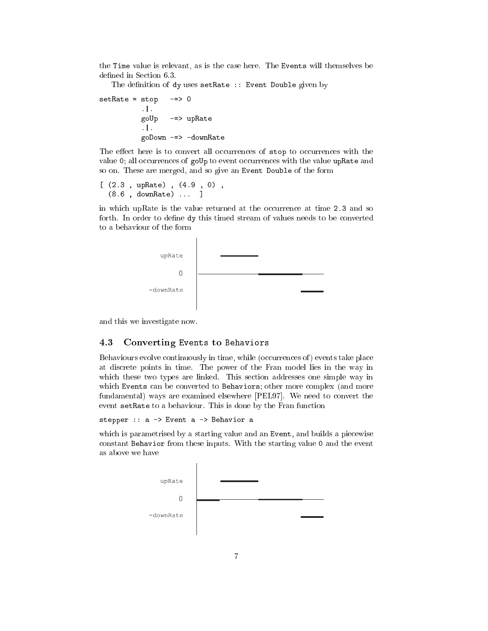the Time value is relevant, as is the case here. The Events will themselves be defined in Section 6.3.

The definition of dy uses setRate :: Event Double given by

```
\Rightarrow 0
setRate = stop.|.
           goUp -=> upRate
           .|.
           goDown -=> -downRate
```
The effect here is to convert all occurrences of stop to occurrences with the value 0; all occurrences of goUp to event occurrences with the value upRate and so on. These are merged, and so give an Event Double of the form

 $[$   $(2.3 , upRate)$  ,  $(4.9 , 0)$  , (8.6 , downRate) ... ]

in which upRate is the value returned at the occurrence at time 2.3 and so forth. In order to define dy this timed stream of values needs to be converted to a behaviour of the form



and this we investigate now.

#### 4.3Converting Events to Behaviors

Behaviours evolve continuously in time, while (occurrences of ) events take place at discrete points in time. The power of the Fran model lies in the way in which these two types are linked. This section addresses one simple way in which Events can be converted to Behaviors; other more complex (and more fundamental) ways are examined elsewhere [PEL97]. We need to convert the event setRate to a behaviour. This is done by the Fran function

```
stepper :: a -> Event a -> Behavior a
```
which is parametrised by a starting value and an Event, and builds a piecewise constant Behavior from these inputs. With the starting value 0 and the event as above we have

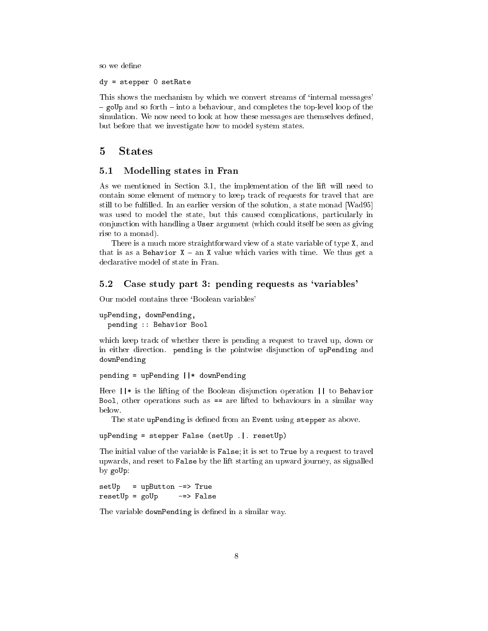so we define

dy = stepper 0 setRate

This shows the mechanism by which we convert streams of `internal messages'  ${\bf g}$  = goUp and so forth  ${\bf -}$  into a behaviour, and completes the top-level loop of the simulation. We now need to look at how these messages are themselves defined, but before that we investigate how to model system states.

#### $\overline{5}$ **States**

## Modelling states in Fran

As we mentioned in Section 3.1, the implementation of the lift will need to contain some element of memory to keep track of requests for travel that are still to be fulfilled. In an earlier version of the solution, a state monad [Wad95] was used to model the state, but this caused complications, particularly in conjunction with handling a User argument (which could itself be seen as giving rise to a monad).

There is a much more straightforward view of a state variable of type X, and that is as a Behavior  $X - an X$  value which varies with time. We thus get a declarative model of state in Fran.

## 5.2 Case study part 3: pending requests as 'variables'

Our model contains three `Boolean variables'

upPending, downPending, pending :: Behavior Bool

which keep track of whether there is pending a request to travel up, down or in either direction. pending is the pointwise disjunction of upPending and downPending

pending = upPending  $|| *$  downPending

Here  $||\cdot||\cdot||\cdot||$  is the lifting of the Boolean disjunction operation  $||\cdot||\cdot||\cdot||\cdot||$ Bool, other operations such as  $==$  are lifted to behaviours in a similar way

The state upPending is defined from an Event using stepper as above.

upPending = stepper False (setUp  $\ldots$  resetUp)

The initial value of the variable is False; it is set to True by a request to travel upwards, and reset to False by the lift starting an upward journey, as signalled by goUp:

 $setUp = upButton \text{---}$  True  $resetUp = golUp \t---> False$ 

The variable downPending is defined in a similar way.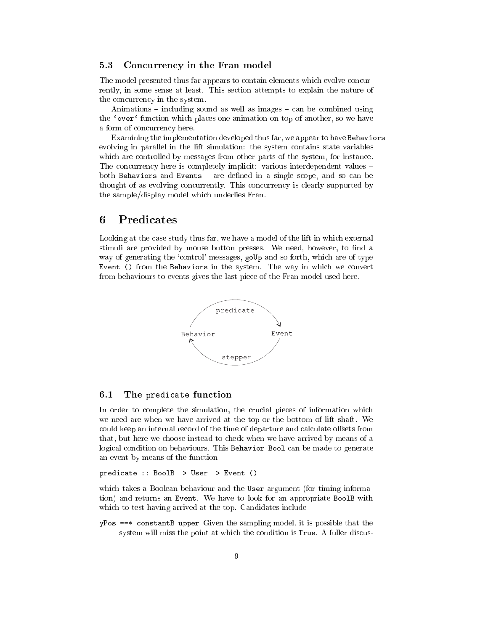#### 5.3 Concurrency in the Fran model

The model presented thus far appears to contain elements which evolve concurrently, in some sense at least. This section attempts to explain the nature of the concurrency in the system.

Animations  $-$  including sound as well as images  $-$  can be combined using the 'over' function which places one animation on top of another, so we have a form of concurrency here.

Examining the implementation developed thus far, we appear to have Behaviors evolving in parallel in the lift simulation: the system contains state variables which are controlled by messages from other parts of the system, for instance. The concurrency here is completely implicit: various interdependent values  $$ both Behaviors and Events  $-$  are defined in a single scope, and so can be thought of as evolving concurrently. This concurrency is clearly supported by the sample/display model which underlies Fran.

#### 6 Predicates

Looking at the case study thus far, we have a model of the lift in which external stimuli are provided by mouse button presses. We need, however, to find a way of generating the 'control' messages, goUp and so forth, which are of type Event () from the Behaviors in the system. The way in which we convert from behaviours to events gives the last piece of the Fran model used here.



#### 6.1The predicate function

In order to complete the simulation, the crucial pieces of information which we need are when we have arrived at the top or the bottom of lift shaft. We could keep an internal record of the time of departure and calculate offsets from that, but here we choose instead to check when we have arrived by means of a logical condition on behaviours. This Behavior Bool can be made to generate an event by means of the function

## predicate :: BoolB -> User -> Event ()

which takes a Boolean behaviour and the User argument (for timing information) and returns an Event. We have to look for an appropriate BoolB with which to test having arrived at the top. Candidates include

yPos ==\* constantB upper Given the sampling model, it is possible that the system will miss the point at which the condition is True. A fuller discus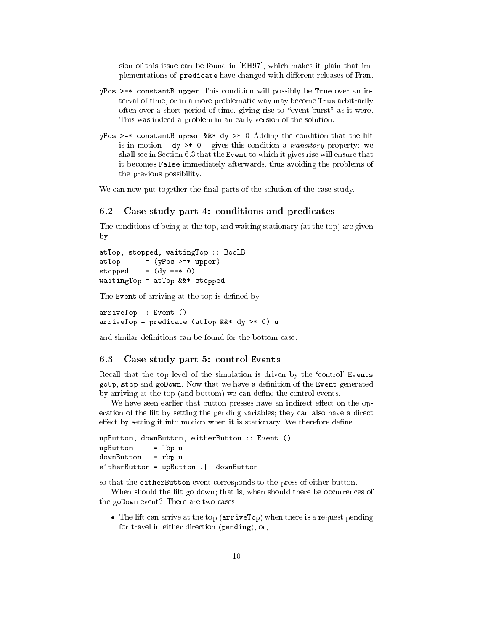sion of this issue can be found in [EH97], which makes it plain that implementations of predicate have changed with different releases of Fran.

- yPos >=\* constantB upper This condition will possibly be True over an interval of time, or in a more problematic way may become True arbitrarily often over a short period of time, giving rise to "event burst" as it were. This was indeed a problem in an early version of the solution.
- yPos  $\geq$  =\* constantB upper &&\* dy  $\geq$ \* 0 Adding the condition that the lift is in motion  $- dy$   $\rightarrow \infty$  0  $-$  gives this condition a *transitory* property: we shall see in Section 6.3 that the Event to which it gives rise will ensure that it becomes False immediately afterwards, thus avoiding the problems of the previous possibility.

We can now put together the final parts of the solution of the case study.

#### 6.2Case study part 4: conditions and predicates

The conditions of being at the top, and waiting stationary (at the top) are given by

```
atTop, stopped, waitingTop :: BoolB
atTop = (yPos >=* upper)
stopped = (dy == * 0)waitingTop = atTop &&* stopped
```
The Event of arriving at the top is defined by

```
arriveTop :: Event ()
arriveTop = predicate (atTop &&* dy >* 0) u
```
and similar definitions can be found for the bottom case.

#### 6.3Case study part 5: control Events

Recall that the top level of the simulation is driven by the `control' Events goUp, stop and goDown. Now that we have a definition of the Event generated by arriving at the top (and bottom) we can define the control events.

We have seen earlier that button presses have an indirect effect on the operation of the lift by setting the pending variables; they can also have a direct effect by setting it into motion when it is stationary. We therefore define

```
upButton, downButton, eitherButton :: Event ()
upButton = 1bp udownButton = rbp u
eitherButton = upButton .|. downButton
```
so that the eitherButton event corresponds to the press of either button.

When should the lift go down; that is, when should there be occurrences of the goDown event? There are two cases.

 The lift can arrive at the top (arriveTop) when there is a request pending for travel in either direction (pending), or,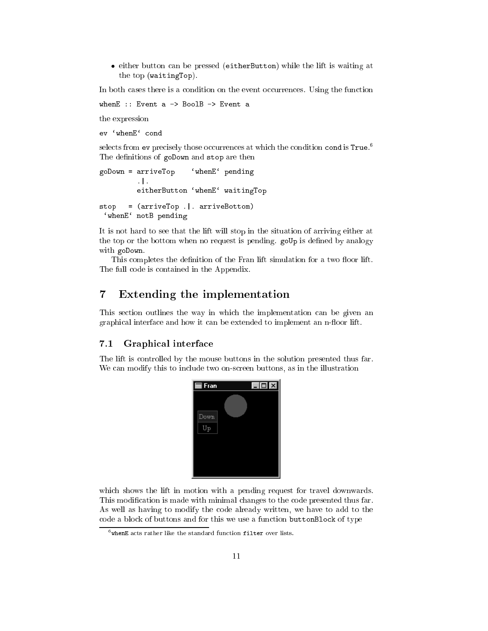either button can be pressed (eitherButton) while the lift is waiting at the top (waitingTop).

In both cases there is a condition on the event occurrences. Using the function

```
whenE :: Event a -> BoolB -> Event a
the expression
ev 'whenE' cond
```
selects from ev precisely those occurrences at which the condition cond is True. <sup>6</sup> The definitions of goDown and stop are then

```
goDown = arriveTop ' whenE' pending
         .|.
         eitherButton 'whenE' waitingTop
stop = (arriveTop .|. arriveBottom)
 `whenE` notB pending
```
It is not hard to see that the lift will stop in the situation of arriving either at the top or the bottom when no request is pending. goUp is defined by analogy with goDown.

This completes the definition of the Fran lift simulation for a two floor lift. The full code is contained in the Appendix.

#### $\overline{7}$ Extending the implementation

This section outlines the way in which the implementation can be given an graphical interface and how it can be extended to implement an n-floor lift.

#### $7.1$ Graphical interface

The lift is controlled by the mouse buttons in the solution presented thus far. We can modify this to include two on-screen buttons, as in the illustration



which shows the lift in motion with a pending request for travel downwards. This modication is made with minimal changes to the code presented thus far. As well as having to modify the code already written, we have to add to the code a block of buttons and for this we use a function buttonBlock of type

whene acts rather like the standard function fifter over fists.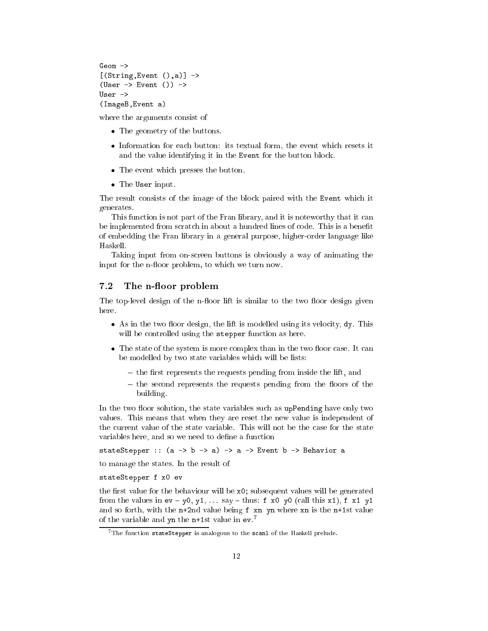```
Geom -[(String,Event(),a)] \rightarrow(User \rightarrow Event ()) \rightarrowUser \rightarrow(ImageB,Event a)
```
where the arguments consist of

- The geometry of the buttons.
- Information for each button: its textual form, the event which resets it and the value identifying it in the Event for the button block.
- The event which presses the button.
- The User input.

The result consists of the image of the block paired with the Event which it generates.

This function is not part of the Fran library, and it is noteworthy that it can be implemented from scratch in about a hundred lines of code. This is a benefit of embedding the Fran library in a general purpose, higher-order language like Haskell.

Taking input from on-screen buttons is obviously a way of animating the input for the n-floor problem, to which we turn now.

#### 7.2The n-floor problem

The top-level design of the n-floor lift is similar to the two floor design given here.

- As in the two floor design, the lift is modelled using its velocity, dy. This will be controlled using the stepper function as here.
- $\bullet$  The state of the system is more complex than in the two floor case. It can be modelled by two state variables which will be lists:
	- $-$  the mst represents the requests pending from inside the lift, and
	- $-$  the second represents the requests pending from the noors of the  $$ building.

In the two floor solution, the state variables such as upPending have only two values. This means that when they are reset the new value is independent of the current value of the state variable. This will not be the case for the state variables here, and so we need to define a function

```
stateStepper :: (a \rightarrow b \rightarrow a) \rightarrow a \rightarrow Event b \rightarrow Behavior a
```
to manage the states. In the result of

stateStepper f x0 ev

the first value for the behaviour will be  $x0$ ; subsequent values will be generated from the values in  $ev - y0$ ,  $y1$ ,  $\ldots$  say  $-$  thus: f x0 y0 (call this x1), f x1 y1 and so forth, with the n+2nd value being f xn yn where xn is the n+1st value of the variable and yn the n+1st value in ev. <sup>7</sup>

 $7$ The function stateStepper is analogous to the scanl of the Haskell prelude.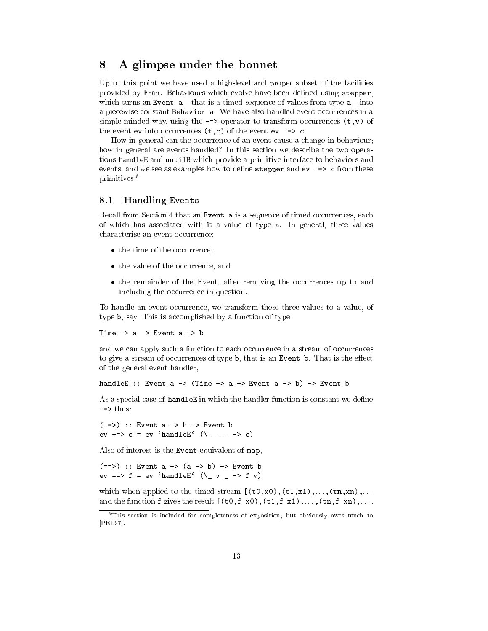#### A glimpse under the bonnet 8

Up to this point we have used a high-level and proper subset of the facilities provided by Fran. Behaviours which evolve have been defined using stepper, which turns an Event  $a$  -that is a timed sequence of values from type  $a$  -into a piecewise-constant Behavior a. We have also handled event occurrences in a simple-minded way, using the  $\Rightarrow$  operator to transform occurrences  $(t, v)$  of the event ev into occurrences  $(t, c)$  of the event ev -=> c.

How in general can the occurrence of an event cause a change in behaviour; how in general are events handled? In this section we describe the two operations handleE and untilB which provide a primitive interface to behaviors and events, and we see as examples how to define stepper and  $ev$   $\rightarrow$   $\sim$  c from these primitives.<sup>8</sup>

#### 8.1 Handling Events

Recall from Section 4 that an Event a is a sequence of timed occurrences, each of which has associated with it a value of type a. In general, three values characterise an event occurrence:

- the time of the occurrence;
- the value of the occurrence, and
- the remainder of the Event, after removing the occurrences up to and including the occurrence in question.

To handle an event occurrence, we transform these three values to a value, of type b, say. This is accomplished by a function of type

Time  $\rightarrow$  a  $\rightarrow$  Event a  $\rightarrow$  b

and we can apply such a function to each occurrence in a stream of occurrences to give a stream of occurrences of type b, that is an Event b. That is the effect of the general event handler,

handleE :: Event a  $\rightarrow$  (Time  $\rightarrow$  a  $\rightarrow$  Event a  $\rightarrow$  b)  $\rightarrow$  Event b

As a special case of handle E in which the handler function is constant we define  $\Rightarrow$  thus:

 $(-=)$  :: Event a  $\rightarrow$  b  $\rightarrow$  Event b ev -=>  $c = ev$  'handleE'  $(\_ - = - > c)$ 

Also of interest is the Event-equivalent of map,

 $(==)$  :: Event a  $\rightarrow$   $(a \rightarrow b)$   $\rightarrow$  Event b ev ==> f = ev 'handleE'  $(\forall v \rightarrow f v)$ 

which when applied to the timed stream  $[(t0,x0), (t1,x1), \ldots, (tn,xn), \ldots]$ and the function f gives the result  $[(t0, f x0), (t1, f x1), \ldots, (t n, f x n), \ldots]$ 

<sup>8</sup>This section is included for completeness of exposition, but obviously owes much to [PEL97].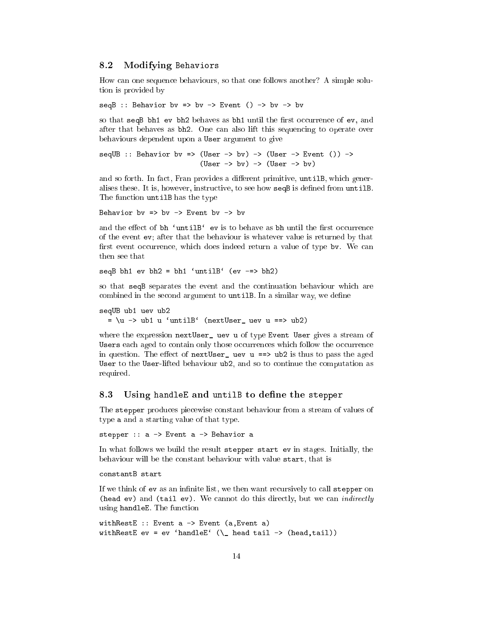#### 8.2 Modifying Behaviors

How can one sequence behaviours, so that one follows another? A simple solution is provided by

seqB :: Behavior bv => bv -> Event () -> bv -> bv

so that seqB bh1 ev bh2 behaves as bh1 until the first occurrence of ev, and after that behaves as bh2. One can also lift this sequencing to operate over behaviours dependent upon a User argument to give

seqUB :: Behavior bv => (User -> bv) -> (User -> Event ()) ->  $(User \rightarrow bv) \rightarrow (User \rightarrow bv)$ 

and so forth. In fact, Fran provides a different primitive, until B, which generalises these. It is, however, instructive, to see how seqB is defined from untilB. The function untilB has the type

Behavior by => by -> Event by -> by

and the effect of  $bh$  'untilB' ev is to behave as  $bh$  until the first occurrence of the event ev; after that the behaviour is whatever value is returned by that first event occurrence, which does indeed return a value of type bv. We can

seqB bh1 ev bh2 = bh1 'untilB' (ev  $\leftarrow$  > bh2)

so that seqB separates the event and the continuation behaviour which are combined in the second argument to untilB. In a similar way, we define

seqUB ub1 uev ub2  $= \u -$  ub1 u 'untilB' (nextUser\_ uev u == > ub2)

where the expression nextUser\_ uev u of type Event User gives a stream of Users each aged to contain only those occurrences which follow the occurrence in question. The effect of nextUser\_ uev u ==> ub2 is thus to pass the aged User to the User-lifted behaviour ub2, and so to continue the computation as required.

#### 8.3Using handleE and untilB to define the stepper

The stepper produces piecewise constant behaviour from a stream of values of type a and a starting value of that type.

```
stepper :: a -> Event a -> Behavior a
```
In what follows we build the result stepper start ev in stages. Initially, the behaviour will be the constant behaviour with value start, that is

## constantB start

If we think of ev as an infinite list, we then want recursively to call stepper on (head ev) and (tail ev). We cannot do this directly, but we can *indirectly* using handleE. The function

```
withRestE :: Event a -> Event (a,Event a)
withRestE ev = ev 'handleE' (\n\lambda) head tail -> (head, tail))
```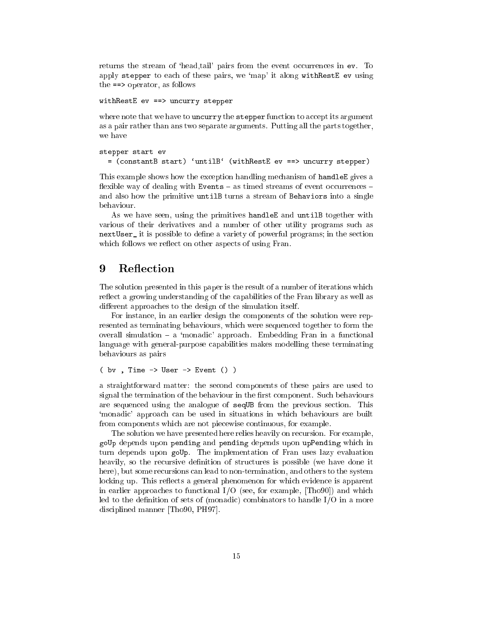returns the stream of 'head,tail' pairs from the event occurrences in ev. To apply stepper to each of these pairs, we `map' it along withRestE ev using the ==> operator, as follows

withRestE ev ==> uncurry stepper

where note that we have to uncurry the stepper function to accept its argument as a pair rather than ans two separate arguments. Putting all the parts together, we have

```
stepper start ev
 = (constantB start) `untilB` (withRestE ev ==> uncurry stepper)
```
This example shows how the exception handling mechanism of hamdleE gives a flexible way of dealing with Events  $-$  as timed streams of event occurrences  $$ and also how the primitive untilB turns a stream of Behaviors into a single behaviour.

As we have seen, using the primitives handleE and untilB together with various of their derivatives and a number of other utility programs such as nextUser\_ it is possible to define a variety of powerful programs; in the section which follows we reflect on other aspects of using Fran.

#### 9 Reflection

The solution presented in this paper is the result of a number of iterations which reflect a growing understanding of the capabilities of the Fran library as well as different approaches to the design of the simulation itself.

For instance, in an earlier design the components of the solution were represented as terminating behaviours, which were sequenced together to form the overall simulation  $-$  a 'monadic' approach. Embedding Fran in a functional language with general-purpose capabilities makes modelling these terminating behaviours as pairs

```
(bv, Time \rightarrow User \rightarrow Event () )
```
a straightforward matter: the second components of these pairs are used to signal the termination of the behaviour in the first component. Such behaviours are sequenced using the analogue of seqUB from the previous section. This `monadic' approach can be used in situations in which behaviours are built from components which are not piecewise continuous, for example.

The solution we have presented here relies heavily on recursion. For example, goUp depends upon pending and pending depends upon upPending which in turn depends upon goUp. The implementation of Fran uses lazy evaluation heavily, so the recursive definition of structures is possible (we have done it here), but some recursions can lead to non-termination, and others to the system locking up. This reflects a general phenomenon for which evidence is apparent in earlier approaches to functional I/O (see, for example, [Tho90]) and which led to the definition of sets of (monadic) combinators to handle  $I/O$  in a more disciplined manner [Tho90, PH97].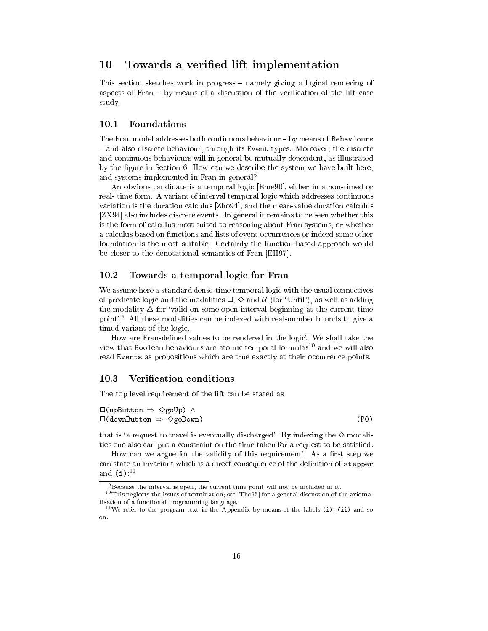#### 10 Towards a veried lift implementation 10

This section sketches work in progress – namely giving a logical rendering of aspects of Fran  $-$  by means of a discussion of the verification of the lift case study.

#### 10.1Foundations

The Fran model addresses both continuous behaviour  $-$  by means of Behaviours - and also discrete behaviour, through its Event types. Moreover, the discrete and continuous behaviours will in general be mutually dependent, as illustrated by the figure in Section 6. How can we describe the system we have built here, and systems implemented in Fran in general?

An obvious candidate is a temporal logic [Eme90], either in a non-timed or real- time form. A variant of interval temporal logic which addresses continuous variation is the duration calculus [Zho94], and the mean-value duration calculus [ZX94] also includes discrete events. In general it remains to be seen whether this is the form of calculus most suited to reasoning about Fran systems, or whether a calculus based on functions and lists of event occurrences or indeed some other foundation is the most suitable. Certainly the function-based approach would be closer to the denotational semantics of Fran [EH97].

#### 10.2Towards <sup>a</sup> temporal logic for Fran

We assume here a standard dense-time temporal logic with the usual connectives of predicate logic and the modalities  $\Box$ ,  $\diamond$  and U (for 'Until'), as well as adding the modality  $\Delta$  for 'valid on some open interval beginning at the current time point'.9 All these modalities can be indexed with real-number bounds to give a timed variant of the logic.

How are Fran-defined values to be rendered in the logic? We shall take the view that Boolean behaviours are atomic temporal formulas<sup>10</sup> and we will also read Events as propositions which are true exactly at their occurrence points.

#### Verication conditions 10.3

The top level requirement of the lift can be stated as

$$
\square(\text{upButton} \Rightarrow \diamond \text{goUp}) \wedge \square(\text{downButton} \Rightarrow \diamond \text{goDown})
$$
\n(P0)

that is 'a request to travel is eventually discharged'. By indexing the  $\diamond$  modalities one also can put a constraint on the time taken for a request to be satised.

How can we argue for the validity of this requirement? As a first step we can state an invariant which is a direct consequence of the definition of stepper and (1*)*: 1

 $9B$  Because the interval is open, the current time point will not be included in it.

 $10$ This neglects the issues of termination; see [Tho95] for a general discussion of the axiomatisation of a functional programming language.

<sup>&</sup>lt;sup>11</sup>We refer to the program text in the Appendix by means of the labels (i), (ii) and so on.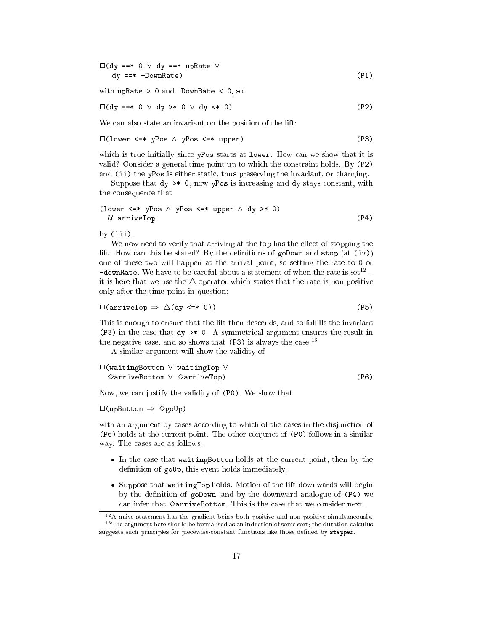| $\Box$ (dy ==* 0 $\lor$ dy ==* upRate $\lor$ |      |
|----------------------------------------------|------|
| $dy == * -DownRate)$                         | (P1) |

with upRate > 0 and -DownRate < 0, so

 $\square$  (dy ==\* 0  $\vee$  dy >\* 0  $\vee$  dy <\* 0) (P2)

We can also state an invariant on the position of the lift:

 $\square$ (lower <=\* yPos  $\land$  yPos <=\* upper) (P3)

which is true initially since yPos starts at lower. How can we show that it is valid? Consider a general time point up to which the constraint holds. By (P2) and (ii) the yPos is either static, thus preserving the invariant, or changing.

Suppose that  $dy \rightarrow \infty$ ; now yPos is increasing and  $dy$  stays constant, with the consequence that

(lower 
$$
≤*
$$
 yPos ∧ yPos  $≤*$  upper ∧ dy >\* 0)  
*U* arriveTop (P4)

by (iii).

We now need to verify that arriving at the top has the effect of stopping the lift. How can this be stated? By the definitions of goDown and stop (at  $(iv)$ ) one of these two will happen at the arrival point, so setting the rate to 0 or  $-$ downRate. We have to be careful about a statement of when the rate is set  $$ it is here that we use the  $\Delta$  operator which states that the rate is non-positive only after the time point in question:

$$
\Box(\text{arriveTop} \Rightarrow \triangle(\text{dy} \leq^* 0))
$$
 (P5)

This is enough to ensure that the lift then descends, and so fulfills the invariant (P3) in the case that dy >\* 0. A symmetrical argument ensures the result in the negative case, and so shows that  $(P3)$  is always the case.<sup>13</sup>

A similar argument will show the validity of

```
\square (waitingBottom \vee waitingTop \vee\DiamondarriveBottom \lor \DiamondarriveTop)
                                                                                         (P6)
```
Now, we can justify the validity of (P0). We show that

 $\square$ (upButton  $\Rightarrow$   $\diamond$ goUp)

with an argument by cases according to which of the cases in the disjunction of (P6) holds at the current point. The other conjunct of (P0) follows in a similar way. The cases are as follows.

- In the case that waitingBottom holds at the current point, then by the definition of goUp, this event holds immediately.
- Suppose that waitingTop holds. Motion of the lift downwards will begin by the definition of goDown, and by the downward analogue of (P4) we can infer that  $\Diamond$ arriveBottom. This is the case that we consider next.

<sup>12</sup>A naive statement has the gradient being both positive and non-positive simultaneously. <sup>13</sup>The argument here should be formalised as an induction of some sort; the duration calculus

suggests such principles for piecewise-constant functions like those defined by stepper.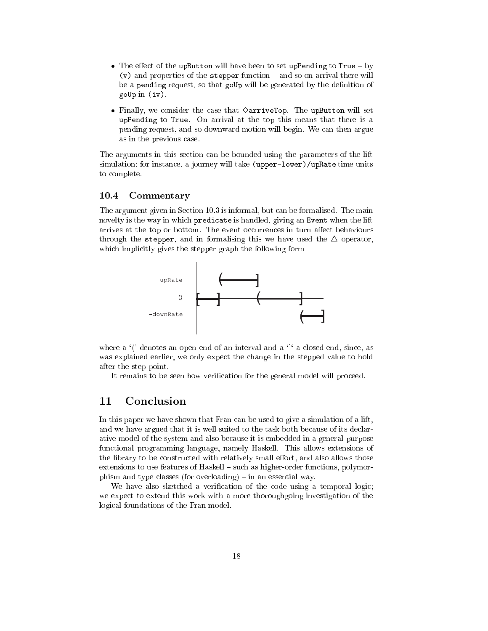- The effect of the upButton will have been to set upPending to True  $-$  by  $(v)$  and properties of the stepper function  $-$  and so on arrival there will be a pending request, so that goUp will be generated by the definition of goUp in (iv).
- Finally, we consider the case that  $\Diamond$ arriveTop. The upButton will set upPending to True. On arrival at the top this means that there is a pending request, and so downward motion will begin. We can then argue as in the previous case.

The arguments in this section can be bounded using the parameters of the lift simulation; for instance, a journey will take (upper-lower)/upRate time units to complete.

#### 10.4 Commentary

The argument given in Section 10.3 is informal, but can be formalised. The main novelty is the way in which predicate is handled, giving an Event when the lift arrives at the top or bottom. The event occurrences in turn affect behaviours through the stepper, and in formalising this we have used the  $\Delta$  operator, which implicitly gives the stepper graph the following form



where a  $\prime$  denotes an open end of an interval and a  $\prime$  a closed end, since, as was explained earlier, we only expect the change in the stepped value to hold after the step point.

It remains to be seen how verification for the general model will proceed.

#### Conclusion 11

In this paper we have shown that Fran can be used to give a simulation of a lift, and we have argued that it is well suited to the task both because of its declarative model of the system and also because it is embedded in a general-purpose functional programming language, namely Haskell. This allows extensions of the library to be constructed with relatively small effort, and also allows those extensions to use features of Haskell  $-$  such as higher-order functions, polymorphism and type classes (for overloading)  $-$  in an essential way.

We have also sketched a verification of the code using a temporal logic; we expect to extend this work with a more thoroughgoing investigation of the logical foundations of the Fran model.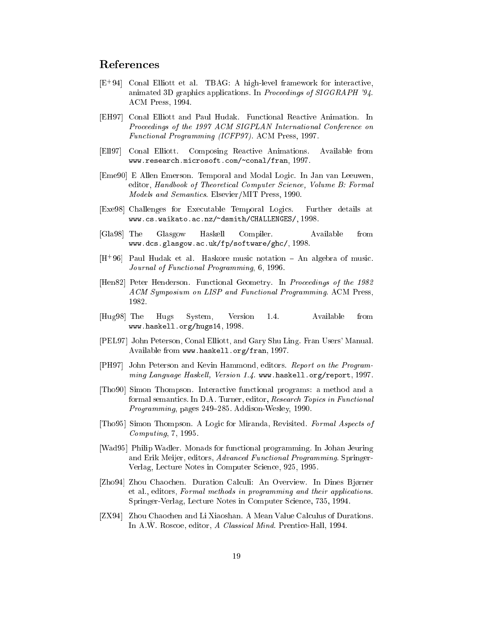## References

- [E+ 94] Conal Elliott et al. TBAG: A high-level framework for interactive, animated 3D graphics applications. In Proceedings of SIGGRAPH '94. ACM Press, 1994.
- [EH97] Conal Elliott and Paul Hudak. Functional Reactive Animation. In Proceedings of the 1997 ACM SIGPLAN International Conference on Functional Programming (ICFP97). ACM Press, 1997.
- [Ell97] Conal Elliott. Composing Reactive Animations. Available from where  $\mathcal{C}$  is the constant of the constant of the constant of the constant of the constant of the constant of the constant of the constant of the constant of the constant of the constant of the constant of the constan
- [Eme90] E Allen Emerson. Temporal and Modal Logic. In Jan van Leeuwen, editor, Handbook of Theoretical Computer Science, Volume B: Formal Models and Semantics. Elsevier/MIT Press, 1990.
- [Exe98] Challenges for Executable Temporal Logics. Further details at www.cs.waikato.ac.nz/~dsmith/CHALLENGES/, 1998.
- [Gla98] The Glasgow Haskell Compiler. Available from www.dcs.glasgow.ac.uk/fp/software/ghc/, 1998.
- $\left| {\bf n}\right\rangle$  yo $\left| {\bf n}\right\rangle$  Paul Hudak et al. Haskore music notation  ${\bf -}$  An algebra of music. Journal of Functional Programming, 6, 1996.
- [Hen82] Peter Henderson. Functional Geometry. In Proceedings of the 1982 ACM Symposium on LISP and Functional Programming. ACM Press, 1982.
- [Hug98] The Hugs System, Version 1.4. Available from www.haskell.org/hugs14, 1998.
- [PEL97] John Peterson, Conal Elliott, and Gary Shu Ling. Fran Users' Manual. Available from www.haskell.org/fran, 1997.
- [PH97] John Peterson and Kevin Hammond, editors. Report on the Program $ming\ Language\ Haskell, Version\ 1.4.$  www.haskell.org/report, 1997.
- [Tho90] Simon Thompson. Interactive functional programs: a method and a formal semantics. In D.A. Turner, editor, Research Topics in Functional Programming, pages 249-285. Addison-Wesley, 1990.
- [Tho95] Simon Thompson. A Logic for Miranda, Revisited. Formal Aspects of Computing, 7, 1995.
- [Wad95] Philip Wadler. Monads for functional programming. In Johan Jeuring and Erik Meijer, editors, Advanced Functional Programming. Springer-Verlag, Lecture Notes in Computer Science, 925, 1995.
- [Zho94] Zhou Chaochen. Duration Calculi: An Overview. In Dines Bjørner et al., editors, Formal methods in programming and their applications. Springer-Verlag, Lecture Notes in Computer Science, 735, 1994.
- [ZX94] Zhou Chaochen and Li Xiaoshan. A Mean Value Calculus of Durations. In A.W. Roscoe, editor, A Classical Mind. Prentice-Hall, 1994.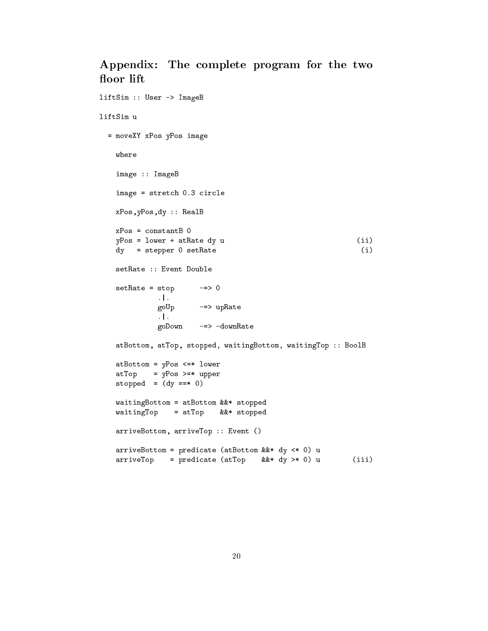# Appendix: The complete program for the two floor lift

```
liftSim :: User -> ImageB
liftSim u
 = moveXY xPos yPos image
   where
   image :: ImageB
   image = stretch 0.3 circle
   xPos,yPos,dy :: RealB
   xPos = constantB 0
   yPos = lower + atRate dy u (ii)
   dy = stepper 0 setRate (i)
   setRate :: Event Double
   setRate = stop -=> 0
            .|.
            goUp -=> upRate
            .|.
            goDown -=> -downRate
   atBottom, atTop, stopped, waitingBottom, waitingTop :: BoolB
   atBottom = yPos <=* lower
   atTop = yPos >=* upper
   stopped = (dy == * 0)waitingBottom = atBottom &&* stopped
   waitingTop = atTop &&* stopped
   arriveBottom, arriveTop :: Event ()
   arriveBottom = predicate (atBottom &&* dy <* 0) u
   arriveTop = predicate (atTop \&\ast dy >* 0) u (iii)
```